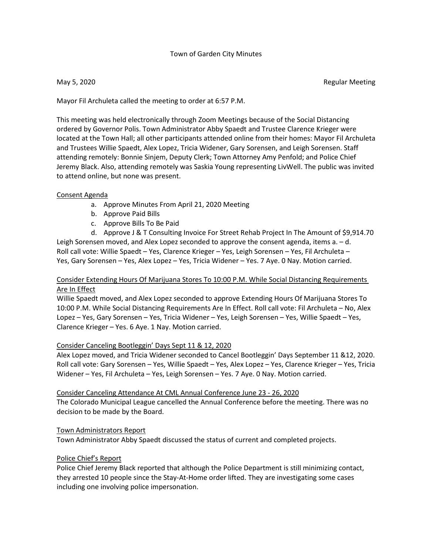## Town of Garden City Minutes

May 5, 2020 Regular Meeting

Mayor Fil Archuleta called the meeting to order at 6:57 P.M.

This meeting was held electronically through Zoom Meetings because of the Social Distancing ordered by Governor Polis. Town Administrator Abby Spaedt and Trustee Clarence Krieger were located at the Town Hall; all other participants attended online from their homes: Mayor Fil Archuleta and Trustees Willie Spaedt, Alex Lopez, Tricia Widener, Gary Sorensen, and Leigh Sorensen. Staff attending remotely: Bonnie Sinjem, Deputy Clerk; Town Attorney Amy Penfold; and Police Chief Jeremy Black. Also, attending remotely was Saskia Young representing LivWell. The public was invited to attend online, but none was present.

## Consent Agenda

- a. Approve Minutes From April 21, 2020 Meeting
- b. Approve Paid Bills
- c. Approve Bills To Be Paid

d. Approve J & T Consulting Invoice For Street Rehab Project In The Amount of \$9,914.70 Leigh Sorensen moved, and Alex Lopez seconded to approve the consent agenda, items a. – d. Roll call vote: Willie Spaedt – Yes, Clarence Krieger – Yes, Leigh Sorensen – Yes, Fil Archuleta – Yes, Gary Sorensen – Yes, Alex Lopez – Yes, Tricia Widener – Yes. 7 Aye. 0 Nay. Motion carried.

# Consider Extending Hours Of Marijuana Stores To 10:00 P.M. While Social Distancing Requirements Are In Effect

Willie Spaedt moved, and Alex Lopez seconded to approve Extending Hours Of Marijuana Stores To 10:00 P.M. While Social Distancing Requirements Are In Effect. Roll call vote: Fil Archuleta – No, Alex Lopez – Yes, Gary Sorensen – Yes, Tricia Widener – Yes, Leigh Sorensen – Yes, Willie Spaedt – Yes, Clarence Krieger – Yes. 6 Aye. 1 Nay. Motion carried.

## Consider Canceling Bootleggin' Days Sept 11 & 12, 2020

Alex Lopez moved, and Tricia Widener seconded to Cancel Bootleggin' Days September 11 &12, 2020. Roll call vote: Gary Sorensen – Yes, Willie Spaedt – Yes, Alex Lopez – Yes, Clarence Krieger – Yes, Tricia Widener – Yes, Fil Archuleta – Yes, Leigh Sorensen – Yes. 7 Aye. 0 Nay. Motion carried.

 Consider Canceling Attendance At CML Annual Conference June 23 - 26, 2020 The Colorado Municipal League cancelled the Annual Conference before the meeting. There was no decision to be made by the Board.

### Town Administrators Report

Town Administrator Abby Spaedt discussed the status of current and completed projects.

### Police Chief's Report

Police Chief Jeremy Black reported that although the Police Department is still minimizing contact, they arrested 10 people since the Stay-At-Home order lifted. They are investigating some cases including one involving police impersonation.